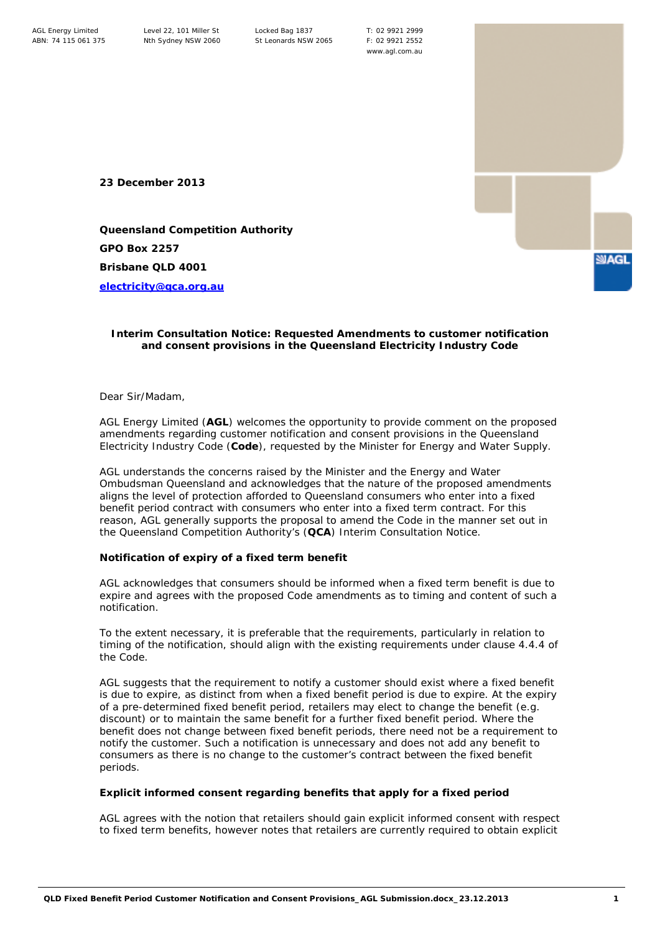T: 02 9921 2999 F: 02 9921 2552 www.agl.com.au

**23 December 2013**

**Queensland Competition Authority GPO Box 2257 Brisbane QLD 4001**

**[electricity@qca.org.au](mailto:electricity@qca.org.au)**

## **Interim Consultation Notice: Requested Amendments to customer notification and consent provisions in the Queensland Electricity Industry Code**

Dear Sir/Madam,

AGL Energy Limited (**AGL**) welcomes the opportunity to provide comment on the proposed amendments regarding customer notification and consent provisions in the Queensland Electricity Industry Code (**Code**), requested by the Minister for Energy and Water Supply.

AGL understands the concerns raised by the Minister and the Energy and Water Ombudsman Queensland and acknowledges that the nature of the proposed amendments aligns the level of protection afforded to Queensland consumers who enter into a fixed benefit period contract with consumers who enter into a fixed term contract. For this reason, AGL generally supports the proposal to amend the Code in the manner set out in the Queensland Competition Authority's (**QCA**) Interim Consultation Notice.

## **Notification of expiry of a fixed term benefit**

AGL acknowledges that consumers should be informed when a fixed term benefit is due to expire and agrees with the proposed Code amendments as to timing and content of such a notification.

To the extent necessary, it is preferable that the requirements, particularly in relation to timing of the notification, should align with the existing requirements under clause 4.4.4 of the Code.

AGL suggests that the requirement to notify a customer should exist where a fixed *benefit*  is due to expire, as distinct from when a fixed benefit *period* is due to expire. At the expiry of a pre-determined fixed benefit period, retailers may elect to change the benefit (e.g. discount) or to maintain the same benefit for a further fixed benefit period. Where the benefit does not change between fixed benefit periods, there need not be a requirement to notify the customer. Such a notification is unnecessary and does not add any benefit to consumers as there is no change to the customer's contract between the fixed benefit periods.

## **Explicit informed consent regarding benefits that apply for a fixed period**

AGL agrees with the notion that retailers should gain explicit informed consent with respect to fixed term benefits, however notes that retailers are currently required to obtain explicit

**SUAGL**